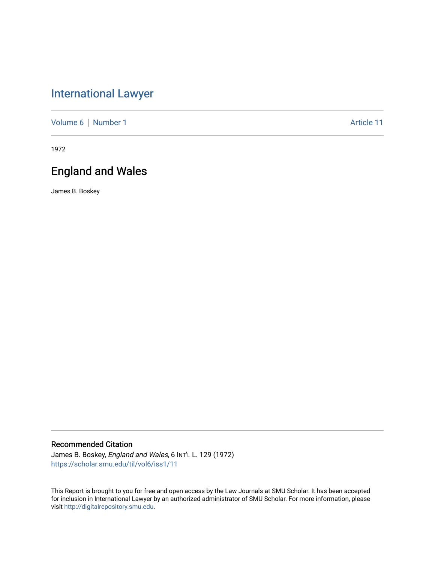# [International Lawyer](https://scholar.smu.edu/til)

[Volume 6](https://scholar.smu.edu/til/vol6) | [Number 1](https://scholar.smu.edu/til/vol6/iss1) Article 11

1972

# England and Wales

James B. Boskey

### Recommended Citation

James B. Boskey, England and Wales, 6 INT'L L. 129 (1972) [https://scholar.smu.edu/til/vol6/iss1/11](https://scholar.smu.edu/til/vol6/iss1/11?utm_source=scholar.smu.edu%2Ftil%2Fvol6%2Fiss1%2F11&utm_medium=PDF&utm_campaign=PDFCoverPages)

This Report is brought to you for free and open access by the Law Journals at SMU Scholar. It has been accepted for inclusion in International Lawyer by an authorized administrator of SMU Scholar. For more information, please visit [http://digitalrepository.smu.edu](http://digitalrepository.smu.edu/).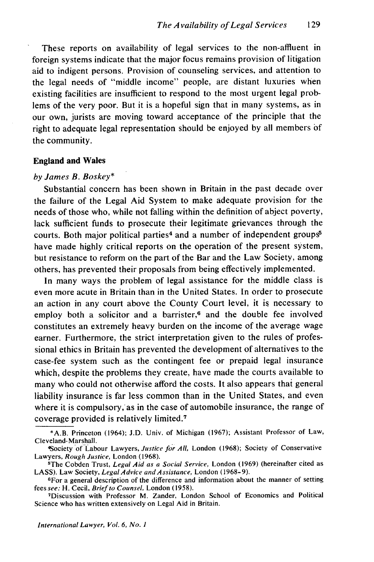These reports on availability of legal services to the non-affluent in foreign systems indicate that the major focus remains provision of litigation aid to indigent persons. Provision of counseling services, and attention to the legal needs of "middle income" people, are distant luxuries when existing facilities are insufficient to respond to the most urgent legal problems of the very poor. But it is a hopeful sign that in many systems, as in our own, jurists are moving toward acceptance of the principle that the right to adequate legal representation should be enjoyed by all members of the community.

### **England and Wales**

### by James B. Boskey\*

Substantial concern has been shown in Britain in the past decade over the failure of the Legal Aid System to make adequate provision for the needs of those who, while not falling within the definition of abject poverty, lack sufficient funds to prosecute their legitimate grievances through the courts. Both major political parties<sup>4</sup> and a number of independent groups<sup>5</sup> have made highly critical reports on the operation of the present system, but resistance to reform on the part of the Bar and the Law Society, among others, has prevented their proposals from being effectively implemented.

In many ways the problem of legal assistance for the middle class is even more acute in Britain than in the United States. In order to prosecute an action in any court above the County Court level, it is necessary to employ both a solicitor and a barrister, $6$  and the double fee involved constitutes an extremely heavy burden on the income of the average wage earner. Furthermore, the strict interpretation given to the rules of professional ethics in Britain has prevented the development of alternatives to the case-fee system such as the contingent fee or prepaid legal insurance which, despite the problems they create, have made the courts available to many who could not otherwise afford the costs. It also appears that general liability insurance is far less common than in the United States, and even where it is compulsory, as in the case of automobile insurance, the range of coverage provided is relatively limited.<sup>7</sup>

<sup>\*</sup>A.B. Princeton (1964); J.D. Univ. of Michigan (1967); Assistant Professor of Law, Cleveland-Marshall.

<sup>4</sup>Society of Labour Lawyers, *Justice for* All, London (1968); Society of Conservative Lawyers, *Rough Justice,* London (1968). <sup>5</sup>

The Cobden Trust, *Legal* Aid *as a Social Service,* London (1969) (hereinafter cited as LASS). Law Society, LegalAdvice *and Assistance,* London (1968-9).

For a general description of the difference and information about the manner of setting fees *see:* H. Cecil, *Brief to Counsel,* London (1958). <sup>7</sup>

Discussion with Professor M. Zander, London School of Economics and Political Science who has written extensively on Legal Aid in Britain.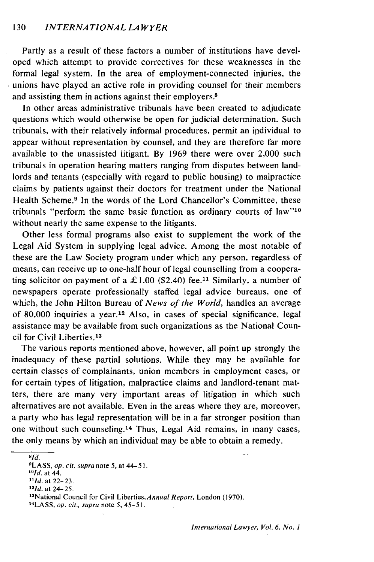Partly as a result of these factors a number of institutions have developed which attempt to provide correctives for these weaknesses in the formal legal system. In the area of employment-connected injuries, the unions have played an active role in providing counsel for their members and assisting them in actions against their employers.<sup>8</sup>

In other areas administrative tribunals have been created to adjudicate questions which would otherwise be open for judicial determination. Such tribunals, with their relatively informal procedures, permit an individual to appear without representation by counsel, and they are therefore far more available to the unassisted litigant. By 1969 there were over 2,000 such tribunals in operation hearing matters ranging from disputes between landlords and tenants (especially with regard to public housing) to malpractice claims by patients against their doctors for treatment under the National Health Scheme. 9 In the words of the Lord Chancellor's Committee, these tribunals "perform the same basic function as ordinary courts of law"<sup>10</sup> without nearly the same expense to the litigants.

Other less formal programs also exist to supplement the work of the Legal Aid System in supplying legal advice. Among the most notable of these are the Law Society program under which any person, regardless of means, can receive up to one-half hour of legal counselling from a cooperating solicitor on payment of a £1.00 (\$2.40) fee.<sup>11</sup> Similarly, a number of newspapers operate professionally staffed legal advice bureaus, one of which, the John Hilton Bureau of *News of the World,* handles an average of 80,000 inquiries a year.<sup>12</sup> Also, in cases of special significance, legal assistance may be available from such organizations as the National Council for Civil Liberties.<sup>13</sup>

The various reports mentioned above, however, all point up strongly the inadequacy of these partial solutions. While they may be available for certain classes of complainants, union members in employment cases, or for certain types of litigation, malpractice claims and landlord-tenant matters, there are many very important areas of litigation in which such alternatives are not available. Even in the areas where they are, moreover, a party who has legal representation will be in a far stronger position than one without such counseling.<sup>14</sup> Thus, Legal Aid remains, in many cases, the only means by which an individual may be able to obtain a remedy.

**<sup>8</sup> id. "LASS,** op. cit. supra note **5,** at 44-5 *1. 'ld.* at 44. **<sup>1</sup> Id.** at 22-23. *<sup>12</sup> 1d.* at 24-25. <sup>13</sup>National Council for Civil Liberties, Annual *Report*, London (1970).<br><sup>14</sup>LASS, *op. cit., supra* note 5, 45-51.